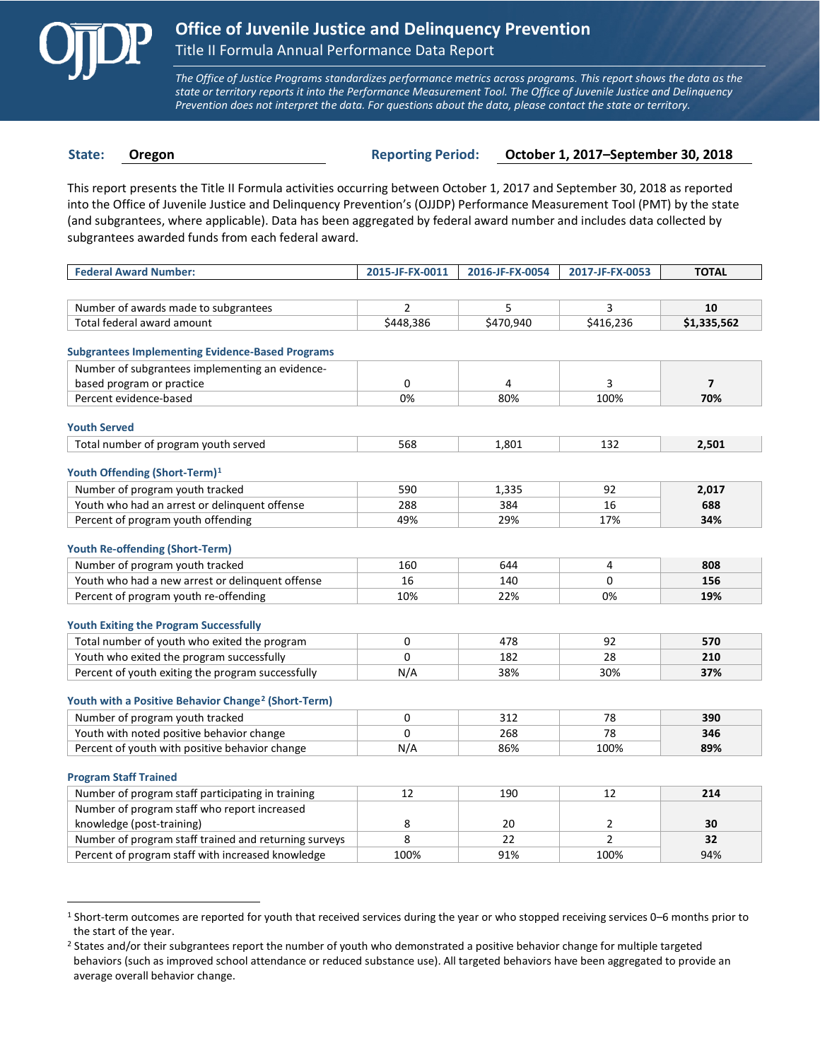

 $\overline{a}$ 

*The Office of Justice Programs standardizes performance metrics across programs. This report shows the data as the state or territory reports it into the Performance Measurement Tool. The Office of Juvenile Justice and Delinquency Prevention does not interpret the data. For questions about the data, please contact the state or territory.*

**State: Oregon Reporting Period: October 1, 2017–September 30, 2018**

This report presents the Title II Formula activities occurring between October 1, 2017 and September 30, 2018 as reported into the Office of Juvenile Justice and Delinquency Prevention's (OJJDP) Performance Measurement Tool (PMT) by the state (and subgrantees, where applicable). Data has been aggregated by federal award number and includes data collected by subgrantees awarded funds from each federal award.

| <b>Federal Award Number:</b>                                                       | 2015-JF-FX-0011 | 2016-JF-FX-0054 | 2017-JF-FX-0053 | <b>TOTAL</b>   |
|------------------------------------------------------------------------------------|-----------------|-----------------|-----------------|----------------|
|                                                                                    |                 |                 |                 |                |
| Number of awards made to subgrantees                                               | $\overline{2}$  | 5               | 3               | 10             |
| Total federal award amount                                                         | \$448,386       | \$470,940       | \$416,236       | \$1,335,562    |
|                                                                                    |                 |                 |                 |                |
| <b>Subgrantees Implementing Evidence-Based Programs</b>                            |                 |                 |                 |                |
| Number of subgrantees implementing an evidence-                                    |                 |                 |                 |                |
| based program or practice                                                          | 0               | 4               | 3               | $\overline{7}$ |
| Percent evidence-based                                                             | 0%              | 80%             | 100%            | 70%            |
| <b>Youth Served</b>                                                                |                 |                 |                 |                |
| Total number of program youth served                                               | 568             | 1,801           | 132             | 2,501          |
|                                                                                    |                 |                 |                 |                |
| Youth Offending (Short-Term) <sup>1</sup>                                          |                 |                 |                 |                |
| Number of program youth tracked                                                    | 590             | 1,335           | 92              | 2,017          |
| Youth who had an arrest or delinquent offense                                      | 288             | 384             | 16              | 688            |
| Percent of program youth offending                                                 | 49%             | 29%             | 17%             | 34%            |
|                                                                                    |                 |                 |                 |                |
| <b>Youth Re-offending (Short-Term)</b>                                             |                 |                 |                 |                |
| Number of program youth tracked                                                    | 160             | 644             | 4               | 808            |
| Youth who had a new arrest or delinguent offense                                   | 16              | 140             | 0               | 156            |
| Percent of program youth re-offending                                              | 10%             | 22%             | 0%              | 19%            |
| <b>Youth Exiting the Program Successfully</b>                                      |                 |                 |                 |                |
| Total number of youth who exited the program                                       | $\Omega$        | 478             | 92              | 570            |
| Youth who exited the program successfully                                          | $\Omega$        | 182             | 28              | 210            |
| Percent of youth exiting the program successfully                                  | N/A             | 38%             | 30%             | 37%            |
|                                                                                    |                 |                 |                 |                |
| Youth with a Positive Behavior Change <sup>2</sup> (Short-Term)                    |                 |                 |                 |                |
| Number of program youth tracked                                                    | 0               | 312             | 78              | 390            |
| Youth with noted positive behavior change                                          | $\Omega$        | 268             | 78              | 346            |
| Percent of youth with positive behavior change                                     | N/A             | 86%             | 100%            | 89%            |
|                                                                                    |                 |                 |                 |                |
| <b>Program Staff Trained</b>                                                       |                 |                 |                 |                |
| Number of program staff participating in training                                  | 12              | 190             | 12              | 214            |
| Number of program staff who report increased                                       |                 | 20              | $\overline{2}$  | 30             |
| knowledge (post-training)<br>Number of program staff trained and returning surveys | 8<br>8          | 22              | $\overline{2}$  | 32             |
|                                                                                    | 100%            | 91%             | 100%            | 94%            |
| Percent of program staff with increased knowledge                                  |                 |                 |                 |                |

<span id="page-0-0"></span><sup>1</sup> Short-term outcomes are reported for youth that received services during the year or who stopped receiving services 0–6 months prior to the start of the year.

<span id="page-0-1"></span><sup>&</sup>lt;sup>2</sup> States and/or their subgrantees report the number of youth who demonstrated a positive behavior change for multiple targeted behaviors (such as improved school attendance or reduced substance use). All targeted behaviors have been aggregated to provide an average overall behavior change.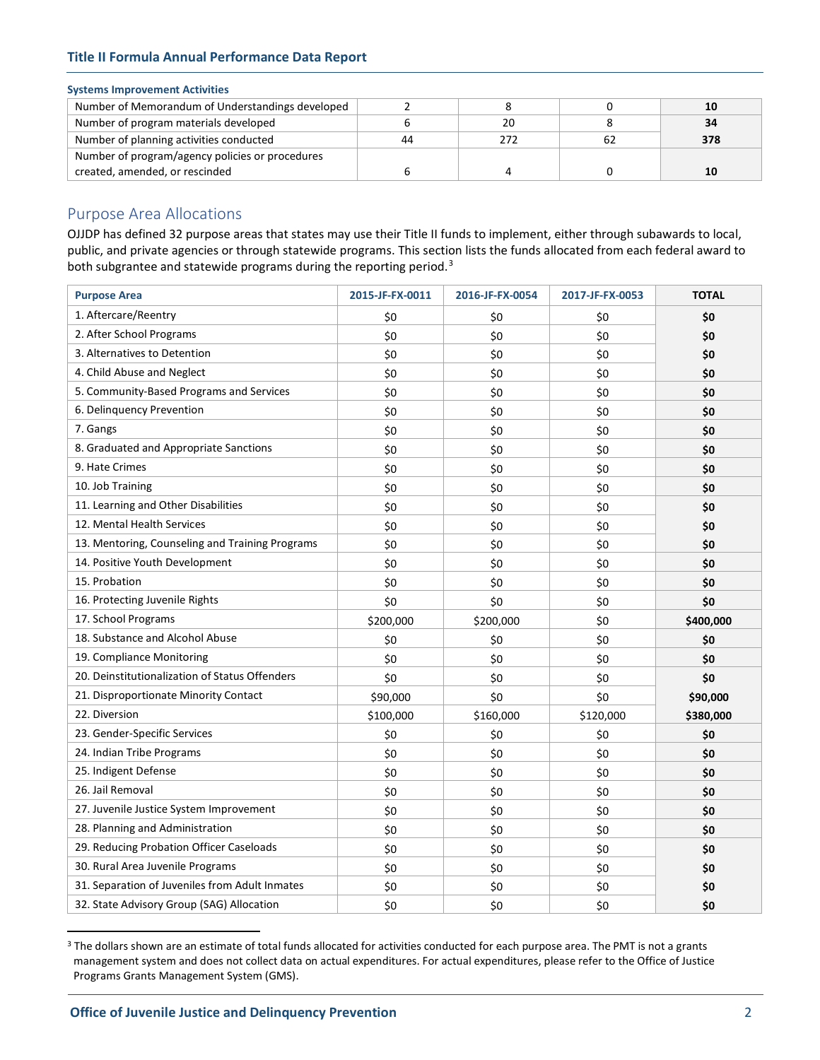## **Title II Formula Annual Performance Data Report**

### **Systems Improvement Activities**

| Number of Memorandum of Understandings developed |    |    |    |     |
|--------------------------------------------------|----|----|----|-----|
| Number of program materials developed            |    | 20 |    | 34  |
| Number of planning activities conducted          | 44 |    | 62 | 378 |
| Number of program/agency policies or procedures  |    |    |    |     |
| created, amended, or rescinded                   |    |    |    |     |

# Purpose Area Allocations

OJJDP has defined 32 purpose areas that states may use their Title II funds to implement, either through subawards to local, public, and private agencies or through statewide programs. This section lists the funds allocated from each federal award to both subgrantee and statewide programs during the reporting period.<sup>[3](#page-1-0)</sup>

| <b>Purpose Area</b>                             | 2015-JF-FX-0011 | 2016-JF-FX-0054 | 2017-JF-FX-0053 | <b>TOTAL</b> |
|-------------------------------------------------|-----------------|-----------------|-----------------|--------------|
| 1. Aftercare/Reentry                            | \$0             | \$0             | \$0             | \$0          |
| 2. After School Programs                        | \$0             | \$0             | \$0             | \$0          |
| 3. Alternatives to Detention                    | \$0             | \$0             | \$0             | \$0          |
| 4. Child Abuse and Neglect                      | \$0             | \$0             | \$0             | \$0          |
| 5. Community-Based Programs and Services        | \$0             | \$0             | \$0             | \$0          |
| 6. Delinquency Prevention                       | \$0             | \$0             | \$0             | \$0          |
| 7. Gangs                                        | \$0             | \$0             | \$0             | \$0          |
| 8. Graduated and Appropriate Sanctions          | \$0             | \$0             | \$0             | \$0          |
| 9. Hate Crimes                                  | \$0             | \$0             | \$0             | \$0          |
| 10. Job Training                                | \$0             | \$0             | \$0             | \$0          |
| 11. Learning and Other Disabilities             | \$0             | \$0             | \$0             | \$0          |
| 12. Mental Health Services                      | \$0             | \$0             | \$0             | \$0          |
| 13. Mentoring, Counseling and Training Programs | \$0             | \$0             | \$0             | \$0          |
| 14. Positive Youth Development                  | \$0             | \$0             | \$0             | \$0          |
| 15. Probation                                   | \$0             | \$0             | \$0             | \$0          |
| 16. Protecting Juvenile Rights                  | \$0             | \$0             | \$0             | \$0          |
| 17. School Programs                             | \$200,000       | \$200,000       | \$0             | \$400,000    |
| 18. Substance and Alcohol Abuse                 | \$0             | \$0             | \$0             | \$0          |
| 19. Compliance Monitoring                       | \$0             | \$0             | \$0             | \$0          |
| 20. Deinstitutionalization of Status Offenders  | \$0             | \$0             | \$0             | \$0          |
| 21. Disproportionate Minority Contact           | \$90,000        | \$0             | \$0             | \$90,000     |
| 22. Diversion                                   | \$100,000       | \$160,000       | \$120,000       | \$380,000    |
| 23. Gender-Specific Services                    | \$0             | \$0             | \$0             | \$0          |
| 24. Indian Tribe Programs                       | \$0             | \$0             | \$0             | \$0          |
| 25. Indigent Defense                            | \$0             | \$0             | \$0             | \$0          |
| 26. Jail Removal                                | \$0             | \$0             | \$0             | \$0          |
| 27. Juvenile Justice System Improvement         | \$0             | \$0             | \$0             | \$0          |
| 28. Planning and Administration                 | \$0             | \$0             | \$0             | \$0          |
| 29. Reducing Probation Officer Caseloads        | \$0             | \$0             | \$0             | \$0          |
| 30. Rural Area Juvenile Programs                | \$0             | \$0             | \$0             | \$0          |
| 31. Separation of Juveniles from Adult Inmates  | \$0             | \$0             | \$0             | \$0          |
| 32. State Advisory Group (SAG) Allocation       | \$0             | \$0             | \$0             | \$0          |

<span id="page-1-0"></span><sup>&</sup>lt;sup>3</sup> The dollars shown are an estimate of total funds allocated for activities conducted for each purpose area. The PMT is not a grants management system and does not collect data on actual expenditures. For actual expenditures, please refer to the Office of Justice Programs Grants Management System (GMS).

 $\overline{a}$